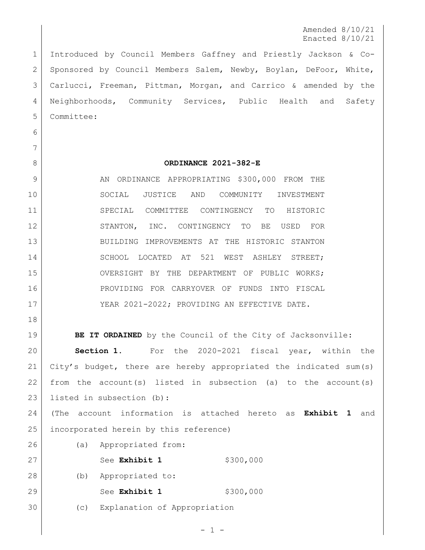Amended 8/10/21 Enacted 8/10/21

 Introduced by Council Members Gaffney and Priestly Jackson & Co-2 Sponsored by Council Members Salem, Newby, Boylan, DeFoor, White, Carlucci, Freeman, Pittman, Morgan, and Carrico & amended by the Neighborhoods, Community Services, Public Health and Safety Committee:

 

## **ORDINANCE 2021-382-E**

9 AN ORDINANCE APPROPRIATING \$300,000 FROM THE SOCIAL JUSTICE AND COMMUNITY INVESTMENT SPECIAL COMMITTEE CONTINGENCY TO HISTORIC 12 STANTON, INC. CONTINGENCY TO BE USED FOR BUILDING IMPROVEMENTS AT THE HISTORIC STANTON 14 SCHOOL LOCATED AT 521 WEST ASHLEY STREET; 15 OVERSIGHT BY THE DEPARTMENT OF PUBLIC WORKS; PROVIDING FOR CARRYOVER OF FUNDS INTO FISCAL 17 | YEAR 2021-2022; PROVIDING AN EFFECTIVE DATE.

**BE IT ORDAINED** by the Council of the City of Jacksonville: **Section 1.** For the 2020-2021 fiscal year, within the City's budget, there are hereby appropriated the indicated sum(s) 22 from the account(s) listed in subsection (a) to the account(s) listed in subsection (b):

 (The account information is attached hereto as **Exhibit 1** and incorporated herein by this reference)

 (a) Appropriated from: 27 | See **Exhibit 1** \$300,000 (b) Appropriated to: 29 See **Exhibit 1** \$300,000

(c) Explanation of Appropriation

 $-1 -$